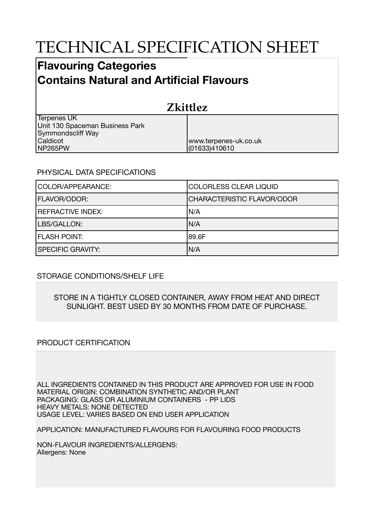# TECHNICAL SPECIFICATION SHEET

## **Flavouring Categories Contains Natural and Artificial Flavours**

| <b>Zkittlez</b>                 |                       |  |
|---------------------------------|-----------------------|--|
| Terpenes UK                     |                       |  |
| Unit 130 Spaceman Business Park |                       |  |
| Symmondscliff Way               |                       |  |
| Caldicot                        | www.terpenes-uk.co.uk |  |
| NP265PW                         | (01633)410610         |  |

### PHYSICAL DATA SPECIFICATIONS

| COLOR/APPEARANCE:        | <b>COLORLESS CLEAR LIQUID</b>     |
|--------------------------|-----------------------------------|
| <b>FLAVOR/ODOR:</b>      | <b>CHARACTERISTIC FLAVOR/ODOR</b> |
| <b>REFRACTIVE INDEX:</b> | IN/A                              |
| LBS/GALLON:              | IN/A                              |
| <b>FLASH POINT:</b>      | 189.6F                            |
| <b>SPECIFIC GRAVITY:</b> | N/A                               |

### STORAGE CONDITIONS/SHELF LIFE

#### STORE IN A TIGHTLY CLOSED CONTAINER, AWAY FROM HEAT AND DIRECT SUNLIGHT. BEST USED BY 30 MONTHS FROM DATE OF PURCHASE.

### PRODUCT CERTIFICATION

ALL INGREDIENTS CONTAINED IN THIS PRODUCT ARE APPROVED FOR USE IN FOOD MATERIAL ORIGIN: COMBINATION SYNTHETIC AND/OR PLANT PACKAGING: GLASS OR ALUMINIUM CONTAINERS - PP LIDS HEAVY METALS: NONE DETECTED USAGE LEVEL: VARIES BASED ON END USER APPLICATION

APPLICATION: MANUFACTURED FLAVOURS FOR FLAVOURING FOOD PRODUCTS

NON-FLAVOUR INGREDIENTS/ALLERGENS: Allergens: None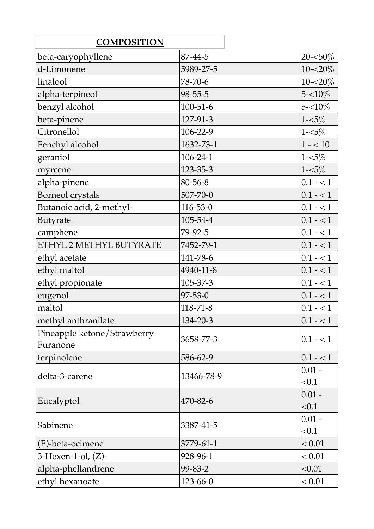| <b>COMPOSITION</b>                      |                |             |
|-----------------------------------------|----------------|-------------|
| beta-caryophyllene                      | 87-44-5        | 20-<50%     |
| d-Limonene                              | 5989-27-5      | $10 - 20\%$ |
| linalool                                | 78-70-6        | $10 - 20\%$ |
| alpha-terpineol                         | $98 - 55 - 5$  | $5 - 10\%$  |
| benzyl alcohol                          | $100 - 51 - 6$ | $5 - 10\%$  |
| beta-pinene                             | 127-91-3       | $1 - 5\%$   |
| Citronellol                             | 106-22-9       | $1 - 5\%$   |
| Fenchyl alcohol                         | 1632-73-1      | $1 - 10$    |
| geraniol                                | $106 - 24 - 1$ | $1 - 5\%$   |
| myrcene                                 | 123-35-3       | $1 - 5\%$   |
| alpha-pinene                            | 80-56-8        | $0.1 - 1$   |
| <b>Borneol</b> crystals                 | 507-70-0       | $0.1 - 1$   |
| Butanoic acid, 2-methyl-                | $116 - 53 - 0$ | $0.1 - 1$   |
| <b>Butyrate</b>                         | 105-54-4       | $0.1 - 1$   |
| camphene                                | 79-92-5        | $0.1 - 1$   |
| ETHYL 2 METHYL BUTYRATE                 | 7452-79-1      | $0.1 - 1$   |
| ethyl acetate                           | 141-78-6       | $0.1 - 1$   |
| ethyl maltol                            | 4940-11-8      | $0.1 - 1$   |
| ethyl propionate                        | 105-37-3       | $0.1 - 1$   |
| eugenol                                 | $97 - 53 - 0$  | $0.1 - 1$   |
| maltol                                  | $118 - 71 - 8$ | $0.1 - 1$   |
| methyl anthranilate                     | 134-20-3       | $0.1 - 1$   |
| Pineapple ketone/Strawberry<br>Furanone | 3658-77-3      | $0.1 - 1$   |
| terpinolene                             | 586-62-9       | $0.1 - 1$   |
| delta-3-carene                          | 13466-78-9     | $0.01 -$    |
|                                         |                | < 0.1       |
|                                         |                | $0.01 -$    |
| Eucalyptol                              | 470-82-6       | < 0.1       |
|                                         | 3387-41-5      | $0.01 -$    |
| Sabinene                                |                | < 0.1       |
| (E)-beta-ocimene                        | 3779-61-1      | < 0.01      |
| $3$ -Hexen-1-ol, $(Z)$ -                | 928-96-1       | < 0.01      |
| alpha-phellandrene                      | 99-83-2        | < 0.01      |
| ethyl hexanoate                         | 123-66-0       | < 0.01      |